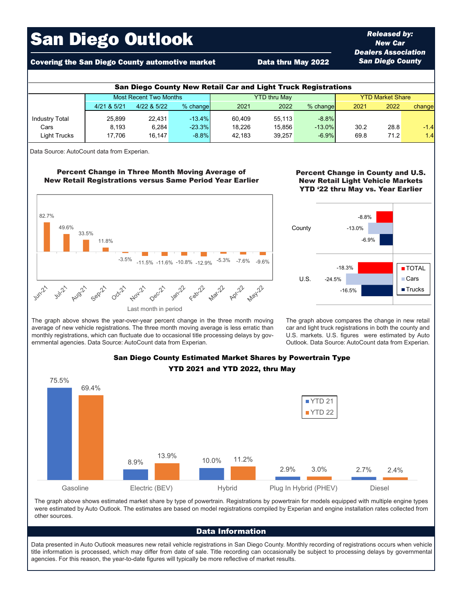# San Diego Outlook

## Covering the San Diego County automotive market **Data thru May 2022**

| <b>San Diego County New Retail Car and Light Truck Registrations</b> |                        |             |          |                     |        |            |                         |      |        |  |  |  |
|----------------------------------------------------------------------|------------------------|-------------|----------|---------------------|--------|------------|-------------------------|------|--------|--|--|--|
|                                                                      | Most Recent Two Months |             |          | <b>YTD thru May</b> |        |            | <b>YTD Market Share</b> |      |        |  |  |  |
|                                                                      | 4/21 & 5/21            | 4/22 & 5/22 | % change | 2021                | 2022   | $%$ change | 2021                    | 2022 | change |  |  |  |
| <b>Industry Total</b>                                                | 25.899                 | 22.431      | $-13.4%$ | 60.409              | 55.113 | $-8.8%$    |                         |      |        |  |  |  |
| Cars                                                                 | 8.193                  | 6.284       | $-23.3%$ | 18.226              | 15.856 | $-13.0%$   | 30.2                    | 28.8 | $-1.4$ |  |  |  |
| Light Trucks                                                         | 17.706                 | 16.147      | $-8.8%$  | 42.183              | 39.257 | $-6.9%$    | 69.8                    | 71.2 | 1.4    |  |  |  |

Data Source: AutoCount data from Experian.

#### Percent Change in Three Month Moving Average of New Retail Registrations versus Same Period Year Earlier



#### Percent Change in County and U.S. New Retail Light Vehicle Markets YTD '22 thru May vs. Year Earlier

*Released by: New Car Dealers Association San Diego County*



The graph above shows the year-over-year percent change in the three month moving average of new vehicle registrations. The three month moving average is less erratic than monthly registrations, which can fluctuate due to occasional title processing delays by governmental agencies. Data Source: AutoCount data from Experian.

The graph above compares the change in new retail car and light truck registrations in both the county and U.S. markets. U.S. figures were estimated by Auto Outlook. Data Source: AutoCount data from Experian.



# San Diego County Estimated Market Shares by Powertrain Type YTD 2021 and YTD 2022, thru May

The graph above shows estimated market share by type of powertrain. Registrations by powertrain for models equipped with multiple engine types were estimated by Auto Outlook. The estimates are based on model registrations compiled by Experian and engine installation rates collected from other sources.

#### Data Information

Data presented in Auto Outlook measures new retail vehicle registrations in San Diego County. Monthly recording of registrations occurs when vehicle title information is processed, which may differ from date of sale. Title recording can occasionally be subject to processing delays by governmental agencies. For this reason, the year-to-date figures will typically be more reflective of market results.